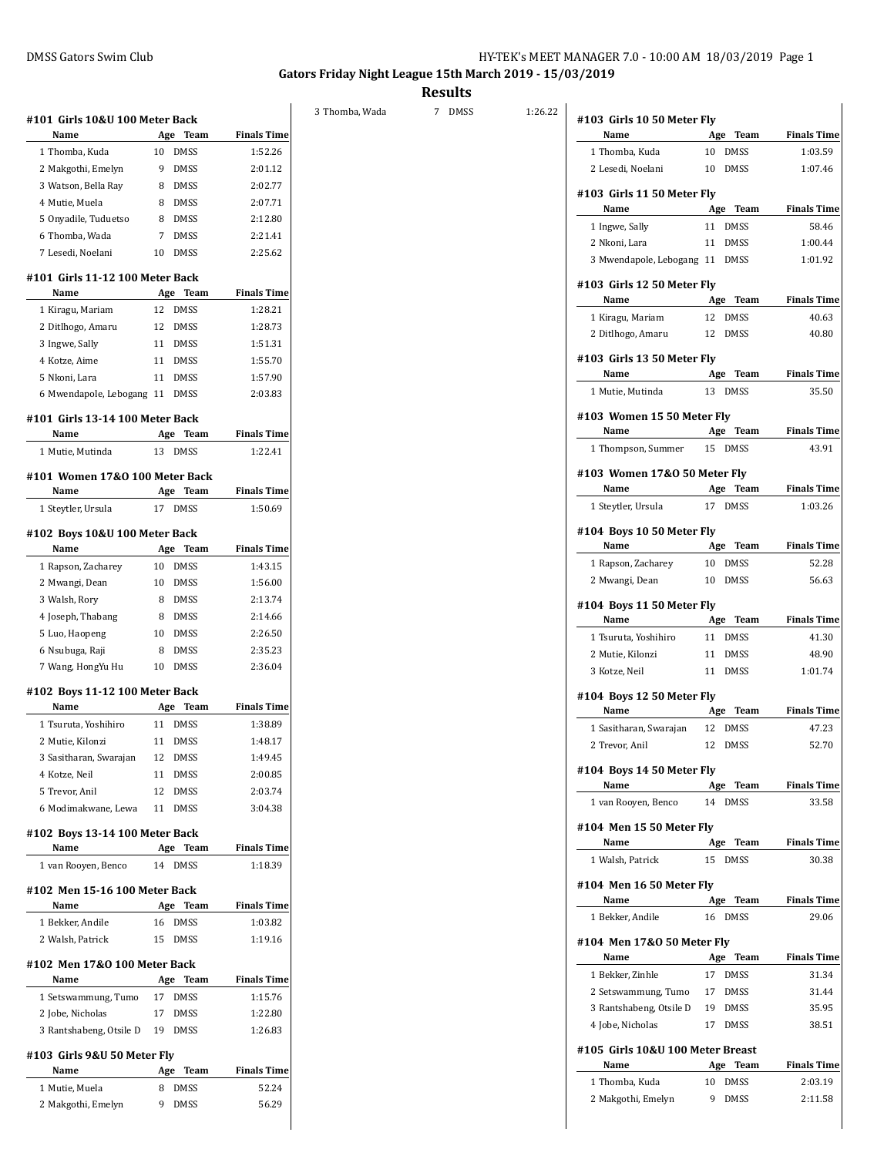**Gators Friday Night League 15th March 2019 - 15/03/2019**

**Results**

3 Thomba, Wada 7 DMSS 1:26.

| Name                             | Age Team Finals Time |                               |
|----------------------------------|----------------------|-------------------------------|
| 1 Thomba, Kuda                   | 10<br><b>DMSS</b>    | 1:03.59                       |
| 2 Lesedi, Noelani                | 10 DMSS              | 1:07.46                       |
| #103 Girls 11 50 Meter Fly       |                      |                               |
| Name                             | Age Team             | <b>Finals Time</b>            |
| 1 Ingwe, Sally                   | 11<br>DMSS           | 58.46                         |
| 2 Nkoni, Lara                    | 11<br>DMSS           | 1:00.44                       |
| 3 Mwendapole, Lebogang 11 DMSS   |                      | 1:01.92                       |
| #103 Girls 12 50 Meter Fly       |                      |                               |
| Name                             | Age Team             | <b>Finals Time</b>            |
| 1 Kiragu, Mariam                 | 12 DMSS              | 40.63                         |
| 2 Ditlhogo, Amaru                | 12 DMSS              | 40.80                         |
| #103 Girls 13 50 Meter Fly       |                      |                               |
| Name                             | Age Team             | <b>Finals Time</b>            |
| 1 Mutie, Mutinda                 | <b>DMSS</b><br>13    | 35.50                         |
| #103 Women 15 50 Meter Fly       |                      |                               |
| Name                             | Age Team             | <b>Finals Time</b>            |
| 1 Thompson, Summer               | 15 DMSS              | 43.91                         |
| #103 Women 17&0 50 Meter Fly     |                      |                               |
| Name                             | Age Team             | <b>Finals Time</b>            |
| 1 Steytler, Ursula               | 17 DMSS              | 1:03.26                       |
| #104 Boys 10 50 Meter Fly        |                      |                               |
| Name                             | Age Team             | <b>Finals Time</b>            |
| 1 Rapson, Zacharey               | 10 DMSS              | 52.28                         |
| 2 Mwangi, Dean                   | 10 DMSS              | 56.63                         |
| #104 Boys 11 50 Meter Fly        |                      |                               |
| Name                             | Age Team             | <b>Finals Time</b>            |
| 1 Tsuruta, Yoshihiro             | 11 DMSS              | 41.30                         |
| 2 Mutie, Kilonzi                 | 11 DMSS              | 48.90                         |
| 3 Kotze, Neil                    | 11 DMSS              | 1:01.74                       |
| #104 Boys 12 50 Meter Fly        |                      |                               |
| Name                             | Age Team             | <b>Finals Time</b>            |
| 1 Sasitharan, Swarajan           | 12 DMSS              | 47.23                         |
| 2 Trevor, Anil                   | 12 DMSS              | 52.70                         |
| #104 Boys 14 50 Meter Fly        |                      |                               |
| Name                             | Age Team             | <b>Finals Time</b>            |
| 1 van Rooyen, Benco              | 14<br>DMSS           | 33.58                         |
| #104 Men 15 50 Meter Fly         |                      |                               |
| Name                             | Age Team             | <b>Finals Time</b>            |
| 1 Walsh, Patrick                 | <b>DMSS</b><br>15    | 30.38                         |
| #104 Men 16 50 Meter Fly         |                      |                               |
| Name                             | Age Team             | <b>Finals Time</b>            |
| 1 Bekker, Andile                 | 16 DMSS              | 29.06                         |
| #104 Men 17&0 50 Meter Fly       |                      |                               |
| Name                             | Age Team             | <b>Finals Time</b>            |
| 1 Bekker, Zinhle                 | 17 DMSS              | 31.34                         |
| 2 Setswammung, Tumo 17 DMSS      |                      | 31.44                         |
| 3 Rantshabeng, Otsile D          | 19 DMSS              | 35.95                         |
| 4 Jobe, Nicholas                 | 17 DMSS              | 38.51                         |
| #105 Girls 10&U 100 Meter Breast |                      |                               |
|                                  |                      |                               |
| Name                             | Age Team             |                               |
| 1 Thomba, Kuda                   | 10<br>DMSS           | <b>Finals Time</b><br>2:03.19 |

## **#101 Girls 10&U 100 Meter Back Name Age Team Finals Time** 1 Thomba, Kuda 10 DMSS 1:52.26 2 Makgothi, Emelyn 9 DMSS 2:01.12 3 Watson, Bella Ray 8 DMSS 2:02.77 4 Mutie, Muela 8 DMSS 2:07.71 5 Onyadile, Tuduetso 8 DMSS 2:12.80 6 Thomba, Wada 7 DMSS 2:21.41 7 Lesedi, Noelani 10 DMSS 2:25.62 **#101 Girls 11-12 100 Meter Back Name Age Team Finals Time** 1 Kiragu, Mariam 12 DMSS 1:28.21 2 Ditlhogo, Amaru 12 DMSS 1:28.73 3 Ingwe, Sally 11 DMSS 1:51.31 4 Kotze, Aime 11 DMSS 1:55.70 5 Nkoni, Lara 11 DMSS 1:57.90 6 Mwendapole, Lebogang 11 DMSS 2:03.83 **#101 Girls 13-14 100 Meter Back Name Age Team Finals Time** 1 Mutie, Mutinda 13 DMSS 1:22.41 **#101 Women 17&O 100 Meter Back Name Age Team Finals Time** 1 Steytler, Ursula 17 DMSS 1:50.69 **#102 Boys 10&U 100 Meter Back Name Age Team Finals Time** 1 Rapson, Zacharey 10 DMSS 1:43.15 2 Mwangi, Dean 10 DMSS 1:56.00 3 Walsh, Rory 8 DMSS 2:13.74 4 Joseph, Thabang 8 DMSS 2:14.66 5 Luo, Haopeng 10 DMSS 2:26.50 6 Nsubuga, Raji 8 DMSS 2:35.23 7 Wang, HongYu Hu 10 DMSS 2:36.04 **#102 Boys 11-12 100 Meter Back Name Age Team Finals Time** 1 Tsuruta, Yoshihiro 11 DMSS 1:38.89 2 Mutie, Kilonzi 11 DMSS 1:48.17 3 Sasitharan, Swarajan 12 DMSS 1:49.45 4 Kotze, Neil 11 DMSS 2:00.85 5 Trevor, Anil 12 DMSS 2:03.74 6 Modimakwane, Lewa 11 DMSS 3:04.38 **#102 Boys 13-14 100 Meter Back Name Age Team Finals Time** 1 van Rooyen, Benco 14 DMSS 1:18.39 **#102 Men 15-16 100 Meter Back Name Age Team Finals Time** 1 Bekker, Andile 16 DMSS 1:03.82 2 Walsh, Patrick 15 DMSS 1:19.16 **#102 Men 17&O 100 Meter Back Name Age Team Finals Time** 1 Setswammung, Tumo 17 DMSS 1:15.76 2 Jobe, Nicholas 17 DMSS 1:22.80 3 Rantshabeng, Otsile D 19 DMSS 1:26.83 **#103 Girls 9&U 50 Meter Fly Name Age Team Finals Time** 1 Mutie, Muela 8 DMSS 52.24 2 Makgothi, Emelyn 9 DMSS 56.29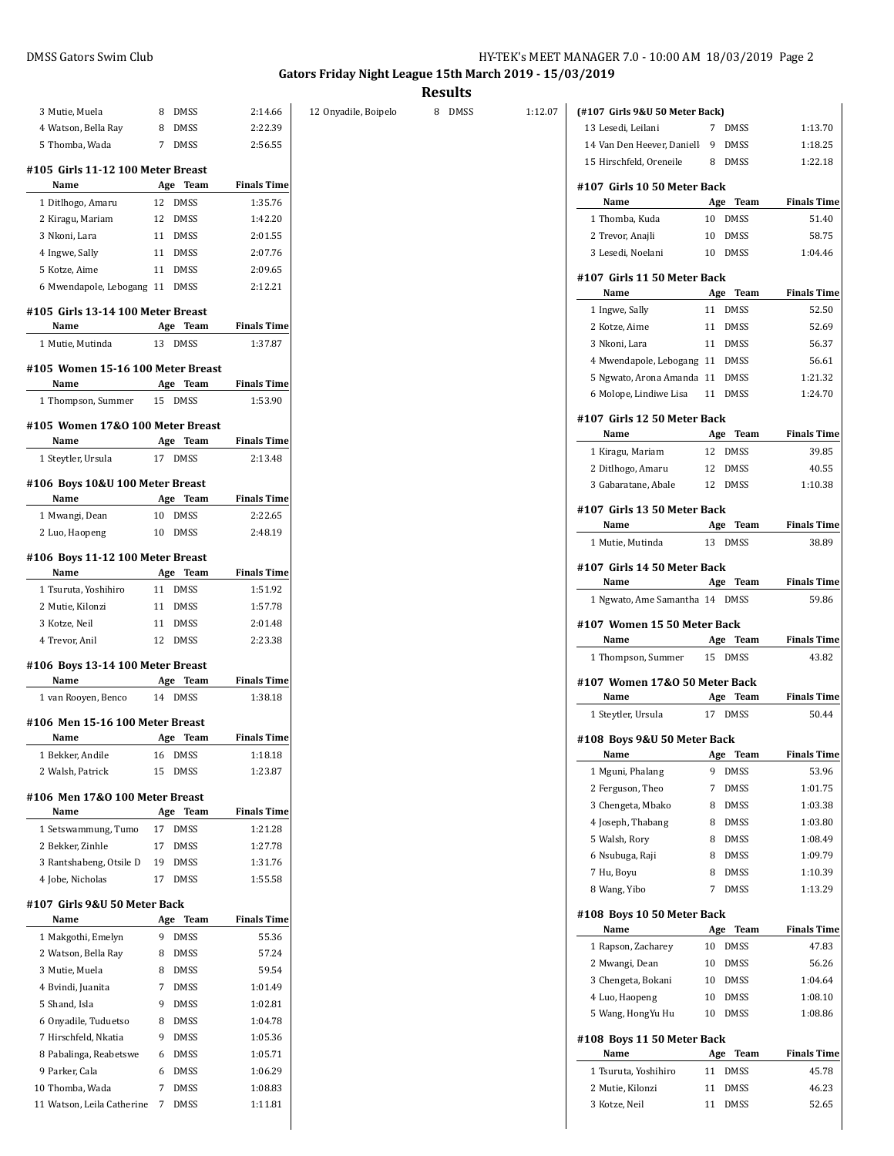**Gators Friday Night League 15th March 2019 - 15/03/2019**

|                                           |                     |                               |                      | <b>Results</b> |         |                                     |                   |                             |
|-------------------------------------------|---------------------|-------------------------------|----------------------|----------------|---------|-------------------------------------|-------------------|-----------------------------|
| 3 Mutie, Muela                            | DMSS<br>8           | 2:14.66                       | 12 Onyadile, Boipelo | 8 DMSS         | 1:12.07 | (#107 Girls 9&U 50 Meter Back)      |                   |                             |
| 4 Watson, Bella Ray                       | DMSS<br>8           | 2:22.39                       |                      |                |         | 13 Lesedi, Leilani                  | 7 DMSS            | 1:13.70                     |
| 5 Thomba, Wada                            | 7 DMSS              | 2:56.55                       |                      |                |         | 14 Van Den Heever, Daniell          | 9<br>DMSS         | 1:18.25                     |
| #105 Girls 11-12 100 Meter Breast         |                     |                               |                      |                |         | 15 Hirschfeld, Oreneile             | 8<br>DMSS         | 1:22.18                     |
| Name                                      | Age Team            | <b>Finals Time</b>            |                      |                |         | #107 Girls 10 50 Meter Back         |                   |                             |
| 1 Ditlhogo, Amaru                         | 12 DMSS             | 1:35.76                       |                      |                |         | Name                                | Age<br>Team       | <b>Finals Time</b>          |
| 2 Kiragu, Mariam                          | 12 DMSS             | 1:42.20                       |                      |                |         | 1 Thomba, Kuda                      | 10 DMSS           | 51.40                       |
| 3 Nkoni, Lara                             | 11 DMSS             | 2:01.55                       |                      |                |         | 2 Trevor, Anajli                    | 10<br><b>DMSS</b> | 58.75                       |
| 4 Ingwe, Sally                            | 11 DMSS             | 2:07.76                       |                      |                |         | 3 Lesedi, Noelani                   | 10 DMSS           | 1:04.46                     |
| 5 Kotze, Aime                             | 11 DMSS             | 2:09.65                       |                      |                |         |                                     |                   |                             |
| 6 Mwendapole, Lebogang 11 DMSS            |                     | 2:12.21                       |                      |                |         | #107 Girls 11 50 Meter Back<br>Name | Age Team          | <b>Finals Time</b>          |
|                                           |                     |                               |                      |                |         | 1 Ingwe, Sally                      | 11 DMSS           | 52.50                       |
| #105 Girls 13-14 100 Meter Breast<br>Name | Age Team            | <b>Finals Time</b>            |                      |                |         |                                     | 11 DMSS           | 52.69                       |
|                                           | 13 DMSS             | 1:37.87                       |                      |                |         | 2 Kotze, Aime                       | 11 DMSS           | 56.37                       |
| 1 Mutie, Mutinda                          |                     |                               |                      |                |         | 3 Nkoni, Lara                       |                   |                             |
| #105 Women 15-16 100 Meter Breast         |                     |                               |                      |                |         | 4 Mwendapole, Lebogang 11 DMSS      |                   | 56.61                       |
| Name                                      | Age Team            | <b>Finals Time</b>            |                      |                |         | 5 Ngwato, Arona Amanda 11 DMSS      |                   | 1:21.32                     |
| 1 Thompson, Summer                        | 15 DMSS             | 1:53.90                       |                      |                |         | 6 Molope, Lindiwe Lisa              | 11 DMSS           | 1:24.70                     |
| #105 Women 17&0 100 Meter Breast          |                     |                               |                      |                |         | #107 Girls 12 50 Meter Back         |                   |                             |
| Name                                      | Age Team            | <b>Finals Time</b>            |                      |                |         | Name                                | Age Team          | <b>Finals Time</b>          |
| 1 Steytler, Ursula                        | 17 DMSS             | 2:13.48                       |                      |                |         | 1 Kiragu, Mariam                    | 12 DMSS           | 39.85                       |
|                                           |                     |                               |                      |                |         | 2 Ditlhogo, Amaru                   | 12 DMSS           | 40.55                       |
| #106 Boys 10&U 100 Meter Breast           |                     |                               |                      |                |         | 3 Gabaratane, Abale                 | 12 DMSS           | 1:10.38                     |
| Name                                      | Age Team<br>10 DMSS | <b>Finals Time</b><br>2:22.65 |                      |                |         | #107 Girls 13 50 Meter Back         |                   |                             |
| 1 Mwangi, Dean<br>2 Luo, Haopeng          | 10 DMSS             | 2:48.19                       |                      |                |         | Name                                | Team<br>Age       | <b>Finals Time</b>          |
|                                           |                     |                               |                      |                |         | 1 Mutie, Mutinda                    | 13 DMSS           | 38.89                       |
| #106 Boys 11-12 100 Meter Breast          |                     |                               |                      |                |         | #107 Girls 14 50 Meter Back         |                   |                             |
| Name                                      | Age Team            | <b>Finals Time</b>            |                      |                |         | Name                                | Age Team          | <b>Finals Time</b>          |
| 1 Tsuruta, Yoshihiro                      | 11 DMSS             | 1:51.92                       |                      |                |         | 1 Ngwato, Ame Samantha 14 DMSS      |                   | 59.86                       |
| 2 Mutie, Kilonzi                          | 11 DMSS             | 1:57.78                       |                      |                |         |                                     |                   |                             |
| 3 Kotze, Neil                             | 11 DMSS             | 2:01.48                       |                      |                |         | #107 Women 15 50 Meter Back         |                   |                             |
| 4 Trevor, Anil                            | 12 DMSS             | 2:23.38                       |                      |                |         | Name                                | Age Team          | <b>Finals Time</b>          |
| #106 Boys 13-14 100 Meter Breast          |                     |                               |                      |                |         | 1 Thompson, Summer                  | 15 DMSS           | 43.82                       |
| Name                                      | Age Team            | <b>Finals Time</b>            |                      |                |         | #107 Women 17&0 50 Meter Back       |                   |                             |
| 1 van Rooyen, Benco                       | 14 DMSS             | 1:38.18                       |                      |                |         | Name                                | Age Team          | <b>Finals Time</b>          |
| #106 Men 15-16 100 Meter Breast           |                     |                               |                      |                |         | 1 Steytler, Ursula                  | 17 DMSS           | 50.44                       |
| Name                                      | Age Team            | <b>Finals Time</b>            |                      |                |         | #108 Boys 9&U 50 Meter Back         |                   |                             |
| 1 Bekker, Andile                          | 16 DMSS             | 1:18.18                       |                      |                |         | Name                                | Age Team          | <b>Finals Time</b>          |
| 2 Walsh, Patrick                          | 15 DMSS             | 1:23.87                       |                      |                |         | 1 Mguni, Phalang                    | 9 DMSS            | 53.96                       |
|                                           |                     |                               |                      |                |         | 2 Ferguson, Theo                    | DMSS<br>7         | 1:01.75                     |
| #106 Men 17&0 100 Meter Breast            |                     |                               |                      |                |         | 3 Chengeta, Mbako                   | 8<br>DMSS         | 1:03.38                     |
| Name                                      | Age Team            | <b>Finals Time</b>            |                      |                |         | 4 Joseph, Thabang                   | DMSS<br>8         | 1:03.80                     |
| 1 Setswammung, Tumo                       | 17 DMSS             | 1:21.28                       |                      |                |         | 5 Walsh, Rory                       | 8<br>DMSS         | 1:08.49                     |
| 2 Bekker, Zinhle                          | 17 DMSS             | 1:27.78                       |                      |                |         | 6 Nsubuga, Raji                     | 8<br><b>DMSS</b>  | 1:09.79                     |
| 3 Rantshabeng, Otsile D                   | 19 DMSS             | 1:31.76                       |                      |                |         | 7 Hu, Boyu                          | DMSS<br>8         | 1:10.39                     |
| 4 Jobe, Nicholas                          | 17 DMSS             | 1:55.58                       |                      |                |         | 8 Wang, Yibo                        | 7<br>DMSS         | 1:13.29                     |
| #107 Girls 9&U 50 Meter Back              |                     |                               |                      |                |         | #108 Boys 10 50 Meter Back          |                   |                             |
| Name                                      | Age Team            | <b>Finals Time</b>            |                      |                |         | Name                                | Age Team          | <b>Finals Time</b>          |
| 1 Makgothi, Emelyn                        | 9 DMSS              | 55.36                         |                      |                |         | 1 Rapson, Zacharey                  | 10 DMSS           | 47.83                       |
|                                           | 8 DMSS              | 57.24                         |                      |                |         | 2 Mwangi, Dean                      | 10 DMSS           | 56.26                       |
| 2 Watson, Bella Ray                       | 8 DMSS              | 59.54                         |                      |                |         | 3 Chengeta, Bokani                  | 10 DMSS           | 1:04.64                     |
| 3 Mutie, Muela                            |                     |                               |                      |                |         |                                     |                   | 1:08.10                     |
| 4 Bvindi, Juanita                         | 7 DMSS              | 1:01.49                       |                      |                |         |                                     |                   |                             |
| 5 Shand, Isla                             | DMSS<br>9           | 1:02.81                       |                      |                |         | 4 Luo, Haopeng                      | DMSS<br>10        |                             |
| 6 Onyadile, Tuduetso                      | DMSS<br>8           | 1:04.78                       |                      |                |         | 5 Wang, HongYu Hu                   | 10 DMSS           | 1:08.86                     |
| 7 Hirschfeld, Nkatia                      | 9 DMSS              | 1:05.36                       |                      |                |         | #108 Boys 11 50 Meter Back          |                   |                             |
| 8 Pabalinga, Reabetswe                    | 6 DMSS              | 1:05.71                       |                      |                |         | Name                                | Age Team          |                             |
| 9 Parker, Cala                            | 6 DMSS              | 1:06.29                       |                      |                |         | 1 Tsuruta, Yoshihiro                | 11 DMSS           | 45.78                       |
| 10 Thomba, Wada                           | 7 DMSS              | 1:08.83                       |                      |                |         | 2 Mutie, Kilonzi                    | 11 DMSS           | <b>Finals Time</b><br>46.23 |